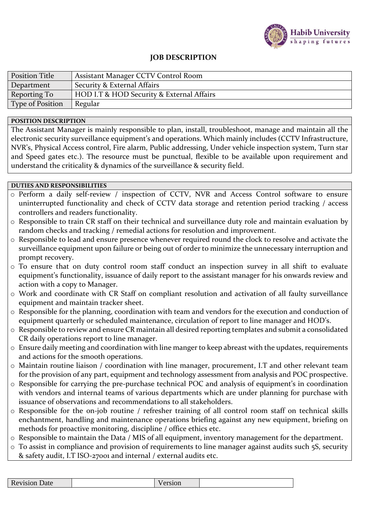

## **JOB DESCRIPTION**

| <b>Position Title</b>   | Assistant Manager CCTV Control Room       |
|-------------------------|-------------------------------------------|
| Department              | Security & External Affairs               |
| Reporting To            | HOD I.T & HOD Security & External Affairs |
| <b>Type of Position</b> | Regular                                   |

## **POSITION DESCRIPTION**

The Assistant Manager is mainly responsible to plan, install, troubleshoot, manage and maintain all the electronic security surveillance equipment's and operations. Which mainly includes (CCTV Infrastructure, NVR's, Physical Access control, Fire alarm, Public addressing, Under vehicle inspection system, Turn star and Speed gates etc.). The resource must be punctual, flexible to be available upon requirement and understand the criticality & dynamics of the surveillance & security field.

## **DUTIES AND RESPONSIBILITIES**

- o Perform a daily self-review / inspection of CCTV, NVR and Access Control software to ensure uninterrupted functionality and check of CCTV data storage and retention period tracking / access controllers and readers functionality.
- o Responsible to train CR staff on their technical and surveillance duty role and maintain evaluation by random checks and tracking / remedial actions for resolution and improvement.
- o Responsible to lead and ensure presence whenever required round the clock to resolve and activate the surveillance equipment upon failure or being out of order to minimize the unnecessary interruption and prompt recovery.
- o To ensure that on duty control room staff conduct an inspection survey in all shift to evaluate equipment's functionality, issuance of daily report to the assistant manager for his onwards review and action with a copy to Manager.
- o Work and coordinate with CR Staff on compliant resolution and activation of all faulty surveillance equipment and maintain tracker sheet.
- o Responsible for the planning, coordination with team and vendors for the execution and conduction of equipment quarterly or scheduled maintenance, circulation of report to line manager and HOD's.
- o Responsible to review and ensure CR maintain all desired reporting templates and submit a consolidated CR daily operations report to line manager.
- o Ensure daily meeting and coordination with line manger to keep abreast with the updates, requirements and actions for the smooth operations.
- o Maintain routine liaison / coordination with line manager, procurement, I.T and other relevant team for the provision of any part, equipment and technology assessment from analysis and POC prospective.
- o Responsible for carrying the pre-purchase technical POC and analysis of equipment's in coordination with vendors and internal teams of various departments which are under planning for purchase with issuance of observations and recommendations to all stakeholders.
- o Responsible for the on-job routine / refresher training of all control room staff on technical skills enchantment, handling and maintenance operations briefing against any new equipment, briefing on methods for proactive monitoring, discipline / office ethics etc.
- o Responsible to maintain the Data / MIS of all equipment, inventory management for the department.
- o To assist in compliance and provision of requirements to line manager against audits such 5S, security & safety audit, I.T ISO-27001 and internal / external audits etc.

| <b>Revision Date</b><br><b>MULL</b> |
|-------------------------------------|
|-------------------------------------|